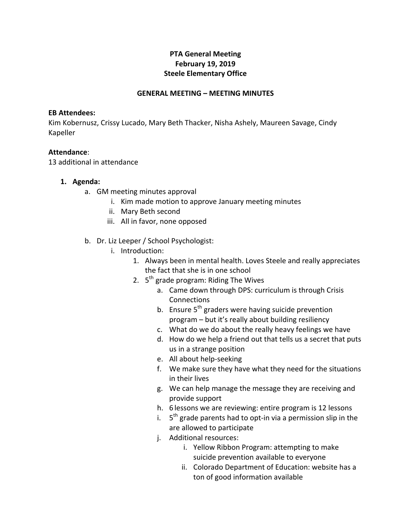# **PTA General Meeting February 19, 2019 Steele Elementary Office**

## **GENERAL MEETING – MEETING MINUTES**

#### **EB** Attendees:

Kim Kobernusz, Crissy Lucado, Mary Beth Thacker, Nisha Ashely, Maureen Savage, Cindy Kapeller

#### **Attendance**:

13 additional in attendance

### **1. Agenda:**

- a. GM meeting minutes approval
	- i. Kim made motion to approve January meeting minutes
	- ii. Mary Beth second
	- iii. All in favor, none opposed
- b. Dr. Liz Leeper / School Psychologist:
	- i. Introduction:
		- 1. Always been in mental health. Loves Steele and really appreciates the fact that she is in one school
		- 2.  $5<sup>th</sup>$  grade program: Riding The Wives
			- a. Came down through DPS: curriculum is through Crisis Connections
			- b. Ensure  $5<sup>th</sup>$  graders were having suicide prevention program - but it's really about building resiliency
			- c. What do we do about the really heavy feelings we have
			- d. How do we help a friend out that tells us a secret that puts us in a strange position
			- e. All about help-seeking
			- f. We make sure they have what they need for the situations in their lives
			- g. We can help manage the message they are receiving and provide support
			- h. 6 lessons we are reviewing: entire program is 12 lessons
			- i.  $5<sup>th</sup>$  grade parents had to opt-in via a permission slip in the are allowed to participate
			- j. Additional resources:
				- i. Yellow Ribbon Program: attempting to make suicide prevention available to everyone
				- ii. Colorado Department of Education: website has a ton of good information available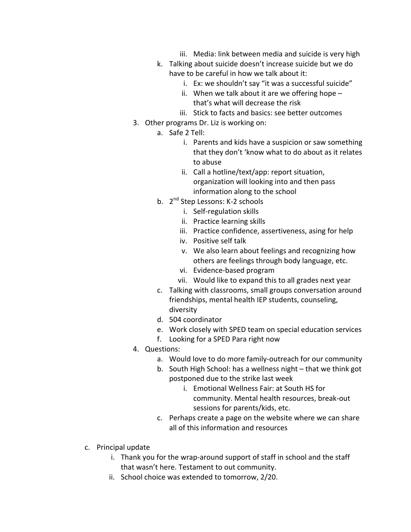- iii. Media: link between media and suicide is very high
- k. Talking about suicide doesn't increase suicide but we do have to be careful in how we talk about it:
	- i. Ex: we shouldn't say "it was a successful suicide"
	- ii. When we talk about it are we offering hope  $$ that's what will decrease the risk
	- iii. Stick to facts and basics: see better outcomes
- 3. Other programs Dr. Liz is working on:
	- a. Safe 2 Tell:
		- i. Parents and kids have a suspicion or saw something that they don't 'know what to do about as it relates to abuse
		- ii. Call a hotline/text/app: report situation, organization will looking into and then pass information along to the school
	- b. 2<sup>nd</sup> Step Lessons: K-2 schools
		- i. Self-regulation skills
		- ii. Practice learning skills
		- iii. Practice confidence, assertiveness, asing for help
		- iv. Positive self talk
		- v. We also learn about feelings and recognizing how others are feelings through body language, etc.
		- vi. Evidence-based program
		- vii. Would like to expand this to all grades next year
	- c. Talking with classrooms, small groups conversation around friendships, mental health IEP students, counseling, diversity
	- d. 504 coordinator
	- e. Work closely with SPED team on special education services
	- f. Looking for a SPED Para right now
- 4. Questions:
	- a. Would love to do more family-outreach for our community
	- b. South High School: has a wellness night that we think got postponed due to the strike last week
		- i. Emotional Wellness Fair: at South HS for community. Mental health resources, break-out sessions for parents/kids, etc.
	- c. Perhaps create a page on the website where we can share all of this information and resources
- c. Principal update
	- i. Thank you for the wrap-around support of staff in school and the staff that wasn't here. Testament to out community.
	- ii. School choice was extended to tomorrow, 2/20.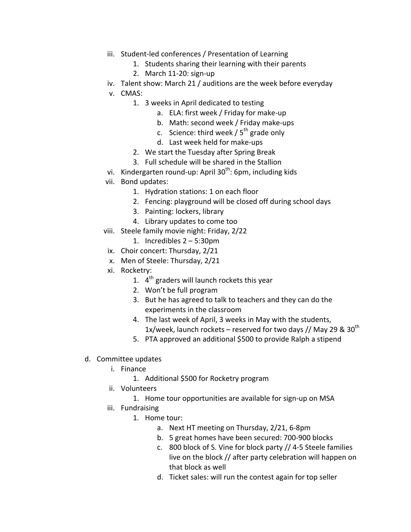- iii. Student-led conferences / Presentation of Learning
	- 1. Students sharing their learning with their parents
	- 2. March 11-20: sign-up
- iv. Talent show: March 21 / auditions are the week before everyday
- v. CMAS:
	- 1. 3 weeks in April dedicated to testing
		- a. ELA: first week / Friday for make-up
		- b. Math: second week / Friday make-ups
		- c. Science: third week /  $5<sup>th</sup>$  grade only
		- d. Last week held for make-ups
	- 2. We start the Tuesday after Spring Break
	- 3. Full schedule will be shared in the Stallion
- vi. Kindergarten round-up: April  $30^{th}$ : 6pm, including kids
- vii. Bond updates:
	- 1. Hydration stations: 1 on each floor
	- 2. Fencing: playground will be closed off during school days
	- 3. Painting: lockers, library
	- 4. Library updates to come too
- viii. Steele family movie night: Friday, 2/22
	- 1. Incredibles  $2 5:30$ pm
- ix. Choir concert: Thursday, 2/21
- x. Men of Steele: Thursday, 2/21
- xi. Rocketry:
	- 1.  $4<sup>th</sup>$  graders will launch rockets this year
	- 2. Won't be full program
	- 3. But he has agreed to talk to teachers and they can do the experiments in the classroom
	- 4. The last week of April, 3 weeks in May with the students, 1x/week, launch rockets – reserved for two days // May 29 &  $30<sup>th</sup>$
	- 5. PTA approved an additional \$500 to provide Ralph a stipend
- d. Committee updates
	- i. Finance
		- 1. Additional \$500 for Rocketry program
	- ii. Volunteers
		- 1. Home tour opportunities are available for sign-up on MSA
	- iii. Fundraising
		- 1. Home tour:
			- a. Next HT meeting on Thursday, 2/21, 6-8pm
			- b. 5 great homes have been secured: 700-900 blocks
			- c. 800 block of S. Vine for block party // 4-5 Steele families live on the block  $//$  after party celebration will happen on that block as well
			- d. Ticket sales: will run the contest again for top seller